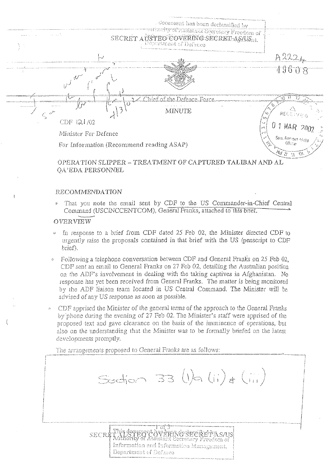

OPERATION SLIPPER - TREATMENT OF CAPTURED TALIBAN AND AL OA'EDA PERSONNEL

## RECOMMENDATION

That you note the email sent by CDF to the US Commander-in-Chief Central Command (USCINCCENTCOM), General Franks, attached to this brief.

## OVERVIEW

- In response to a brief from CDF dated 25 Feb 02, the Minister directed CDF to urgently raise the proposals contained in that brief with the US (penscript to CDF brief).
- Following a telephone conversation between CDF and General Franks on 25 Feb 02.  $\hat{C}$ CDF sent an email to General Franks on 27 Feb 02, detailing the Australian position on the ADF's involvement in dealing with the taking captives in Afghanistan. No response has yet been received from General Franks. The matter is being monitored by the ADF liaison team located in US Central Command. The Minister will be advised of any US response as soon as possible.
- CDF apprised the Minister of the general terms of the approach to the General Franks by phone during the evening of 27 Feb 02. The Minister's staff were apprised of the proposed text and gave clearance on the basis of the imminence of operations, but also on the understanding that the Minister was to be formally briefed on the latest developments promptly.

Section 33 (1)  $(i)$   $(i)$   $(i)$ 

The arrangements proposed to General Franks are as follows:

i or 3 OVERINGSECREPAS/US SECRE sistánt Secretary Freedom of Information and Information Management. Department of Defence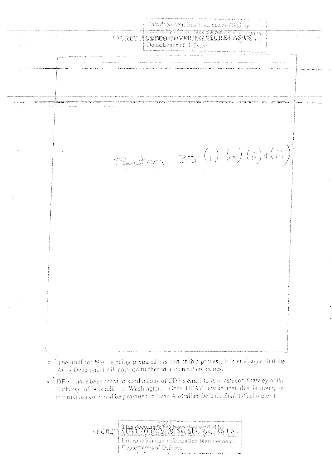This document has been declassified by SECRET AUSTROLOUNDER VERMOSEGRET AS/US Department of Defence  $\lambda \rightarrow \lambda$  $S = str - 33 (1) (s) (i) f (ii)$ 

- <sup>o</sup> <sup>1</sup>The brief for NSC is being prepared. As part of this process, it is envisaged that the AG's Department will provide further advice on salient issues.
- DFAT have been asked to send a copy of CDF's email to Ambassador Thawley at the Embassy of Australia in Washington. Once DFAT advise that this is done, an information copy will be provided to Head Australian Defence Staff (Washington).